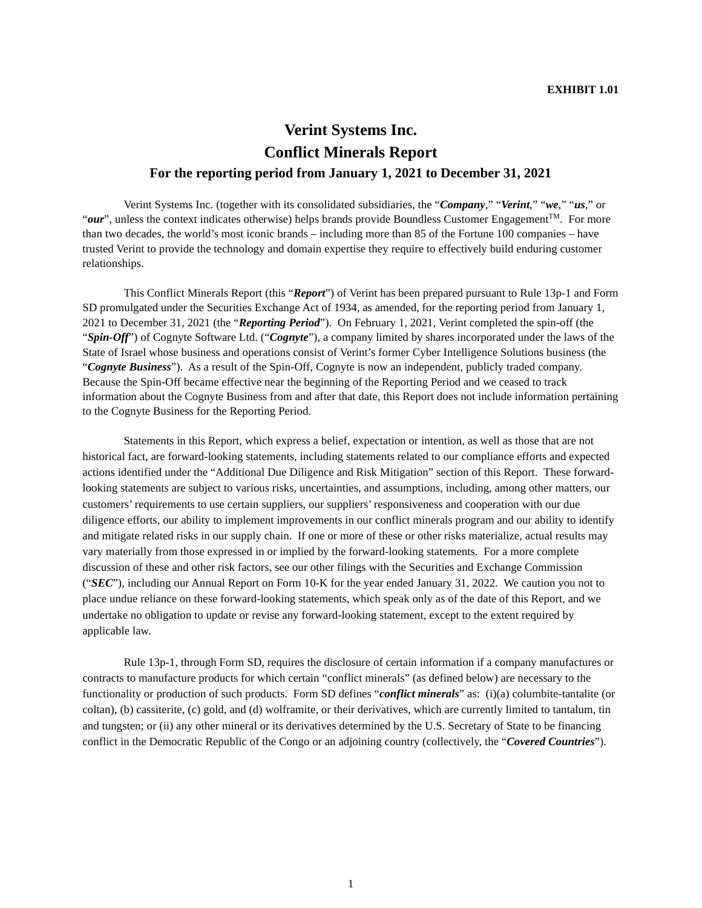# **Verint Systems Inc. Conflict Minerals Report For the reporting period from January 1, 2021 to December 31, 2021**

Verint Systems Inc. (together with its consolidated subsidiaries, the "*Company*," "*Verint*," "*we*," "*us,*" or " $our$ ", unless the context indicates otherwise) helps brands provide Boundless Customer Engagement<sup>TM</sup>. For more than two decades, the world's most iconic brands – including more than 85 of the Fortune 100 companies – have trusted Verint to provide the technology and domain expertise they require to effectively build enduring customer relationships.

This Conflict Minerals Report (this "*Report*") of Verint has been prepared pursuant to Rule 13p-1 and Form SD promulgated under the Securities Exchange Act of 1934, as amended, for the reporting period from January 1, 2021 to December 31, 2021 (the "*Reporting Period*"). On February 1, 2021, Verint completed the spin-off (the "*Spin-Off*") of Cognyte Software Ltd. ("*Cognyte*"), a company limited by shares incorporated under the laws of the State of Israel whose business and operations consist of Verint's former Cyber Intelligence Solutions business (the "*Cognyte Business*"). As a result of the Spin-Off, Cognyte is now an independent, publicly traded company. Because the Spin-Off became effective near the beginning of the Reporting Period and we ceased to track information about the Cognyte Business from and after that date, this Report does not include information pertaining to the Cognyte Business for the Reporting Period.

Statements in this Report, which express a belief, expectation or intention, as well as those that are not historical fact, are forward-looking statements, including statements related to our compliance efforts and expected actions identified under the "Additional Due Diligence and Risk Mitigation" section of this Report. These forwardlooking statements are subject to various risks, uncertainties, and assumptions, including, among other matters, our customers' requirements to use certain suppliers, our suppliers' responsiveness and cooperation with our due diligence efforts, our ability to implement improvements in our conflict minerals program and our ability to identify and mitigate related risks in our supply chain. If one or more of these or other risks materialize, actual results may vary materially from those expressed in or implied by the forward-looking statements. For a more complete discussion of these and other risk factors, see our other filings with the Securities and Exchange Commission ("*SEC*"), including our Annual Report on Form 10-K for the year ended January 31, 2022. We caution you not to place undue reliance on these forward-looking statements, which speak only as of the date of this Report, and we undertake no obligation to update or revise any forward-looking statement, except to the extent required by applicable law.

Rule 13p-1, through Form SD, requires the disclosure of certain information if a company manufactures or contracts to manufacture products for which certain "conflict minerals" (as defined below) are necessary to the functionality or production of such products. Form SD defines "*conflict minerals*" as: (i)(a) columbite-tantalite (or coltan), (b) cassiterite, (c) gold, and (d) wolframite, or their derivatives, which are currently limited to tantalum, tin and tungsten; or (ii) any other mineral or its derivatives determined by the U.S. Secretary of State to be financing conflict in the Democratic Republic of the Congo or an adjoining country (collectively, the "*Covered Countries*").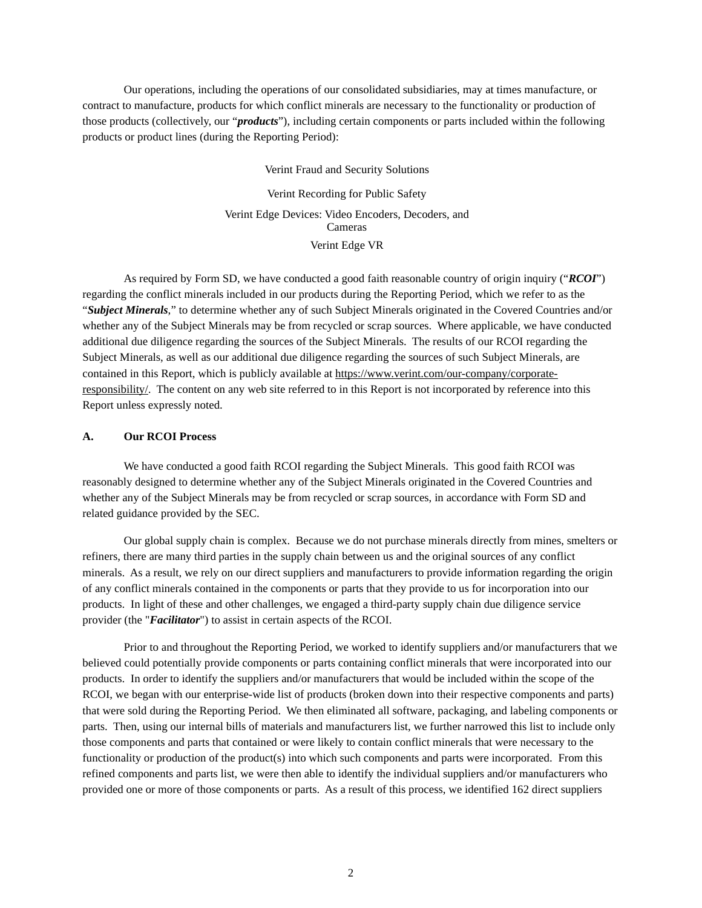Our operations, including the operations of our consolidated subsidiaries, may at times manufacture, or contract to manufacture, products for which conflict minerals are necessary to the functionality or production of those products (collectively, our "*products*"), including certain components or parts included within the following products or product lines (during the Reporting Period):

> Verint Fraud and Security Solutions Verint Recording for Public Safety Verint Edge Devices: Video Encoders, Decoders, and Cameras Verint Edge VR

As required by Form SD, we have conducted a good faith reasonable country of origin inquiry ("*RCOI*") regarding the conflict minerals included in our products during the Reporting Period, which we refer to as the "*Subject Minerals*," to determine whether any of such Subject Minerals originated in the Covered Countries and/or whether any of the Subject Minerals may be from recycled or scrap sources. Where applicable, we have conducted additional due diligence regarding the sources of the Subject Minerals. The results of our RCOI regarding the Subject Minerals, as well as our additional due diligence regarding the sources of such Subject Minerals, are contained in this Report, which is publicly available at https://www.verint.com/our-company/corporateresponsibility/. The content on any web site referred to in this Report is not incorporated by reference into this Report unless expressly noted.

## **A. Our RCOI Process**

We have conducted a good faith RCOI regarding the Subject Minerals. This good faith RCOI was reasonably designed to determine whether any of the Subject Minerals originated in the Covered Countries and whether any of the Subject Minerals may be from recycled or scrap sources, in accordance with Form SD and related guidance provided by the SEC.

Our global supply chain is complex. Because we do not purchase minerals directly from mines, smelters or refiners, there are many third parties in the supply chain between us and the original sources of any conflict minerals. As a result, we rely on our direct suppliers and manufacturers to provide information regarding the origin of any conflict minerals contained in the components or parts that they provide to us for incorporation into our products. In light of these and other challenges, we engaged a third-party supply chain due diligence service provider (the "*Facilitator*") to assist in certain aspects of the RCOI.

Prior to and throughout the Reporting Period, we worked to identify suppliers and/or manufacturers that we believed could potentially provide components or parts containing conflict minerals that were incorporated into our products. In order to identify the suppliers and/or manufacturers that would be included within the scope of the RCOI, we began with our enterprise-wide list of products (broken down into their respective components and parts) that were sold during the Reporting Period. We then eliminated all software, packaging, and labeling components or parts. Then, using our internal bills of materials and manufacturers list, we further narrowed this list to include only those components and parts that contained or were likely to contain conflict minerals that were necessary to the functionality or production of the product(s) into which such components and parts were incorporated. From this refined components and parts list, we were then able to identify the individual suppliers and/or manufacturers who provided one or more of those components or parts. As a result of this process, we identified 162 direct suppliers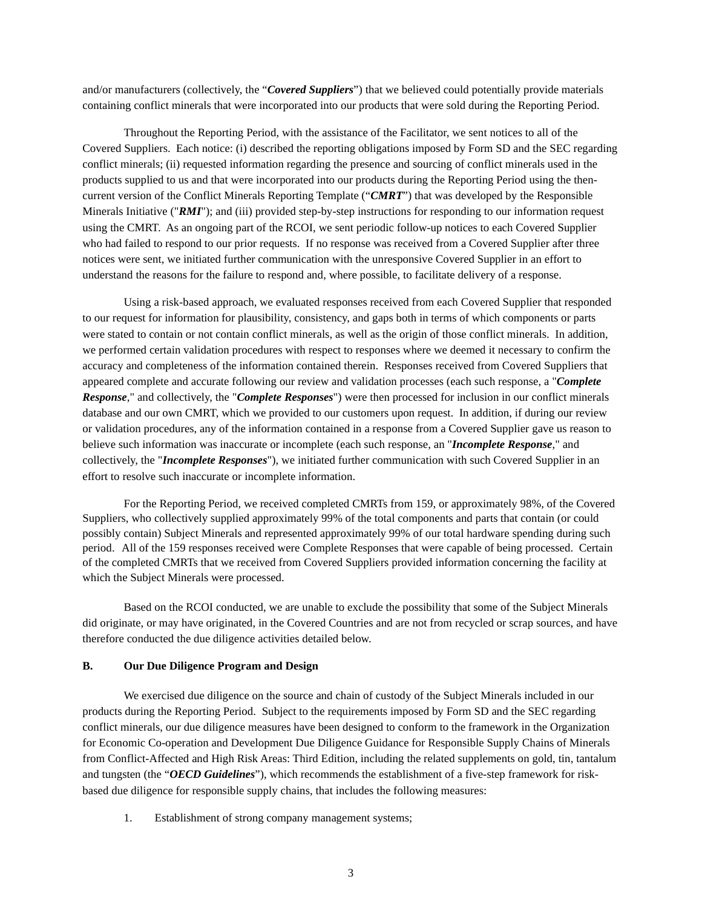and/or manufacturers (collectively, the "*Covered Suppliers*") that we believed could potentially provide materials containing conflict minerals that were incorporated into our products that were sold during the Reporting Period.

Throughout the Reporting Period, with the assistance of the Facilitator, we sent notices to all of the Covered Suppliers. Each notice: (i) described the reporting obligations imposed by Form SD and the SEC regarding conflict minerals; (ii) requested information regarding the presence and sourcing of conflict minerals used in the products supplied to us and that were incorporated into our products during the Reporting Period using the thencurrent version of the Conflict Minerals Reporting Template ("*CMRT*") that was developed by the Responsible Minerals Initiative ("*RMI*"); and (iii) provided step-by-step instructions for responding to our information request using the CMRT. As an ongoing part of the RCOI, we sent periodic follow-up notices to each Covered Supplier who had failed to respond to our prior requests. If no response was received from a Covered Supplier after three notices were sent, we initiated further communication with the unresponsive Covered Supplier in an effort to understand the reasons for the failure to respond and, where possible, to facilitate delivery of a response.

Using a risk-based approach, we evaluated responses received from each Covered Supplier that responded to our request for information for plausibility, consistency, and gaps both in terms of which components or parts were stated to contain or not contain conflict minerals, as well as the origin of those conflict minerals. In addition, we performed certain validation procedures with respect to responses where we deemed it necessary to confirm the accuracy and completeness of the information contained therein. Responses received from Covered Suppliers that appeared complete and accurate following our review and validation processes (each such response, a "*Complete Response*," and collectively, the "*Complete Responses*") were then processed for inclusion in our conflict minerals database and our own CMRT, which we provided to our customers upon request. In addition, if during our review or validation procedures, any of the information contained in a response from a Covered Supplier gave us reason to believe such information was inaccurate or incomplete (each such response, an "*Incomplete Response*," and collectively, the "*Incomplete Responses*"), we initiated further communication with such Covered Supplier in an effort to resolve such inaccurate or incomplete information.

For the Reporting Period, we received completed CMRTs from 159, or approximately 98%, of the Covered Suppliers, who collectively supplied approximately 99% of the total components and parts that contain (or could possibly contain) Subject Minerals and represented approximately 99% of our total hardware spending during such period. All of the 159 responses received were Complete Responses that were capable of being processed. Certain of the completed CMRTs that we received from Covered Suppliers provided information concerning the facility at which the Subject Minerals were processed.

Based on the RCOI conducted, we are unable to exclude the possibility that some of the Subject Minerals did originate, or may have originated, in the Covered Countries and are not from recycled or scrap sources, and have therefore conducted the due diligence activities detailed below.

#### **B. Our Due Diligence Program and Design**

We exercised due diligence on the source and chain of custody of the Subject Minerals included in our products during the Reporting Period. Subject to the requirements imposed by Form SD and the SEC regarding conflict minerals, our due diligence measures have been designed to conform to the framework in the Organization for Economic Co-operation and Development Due Diligence Guidance for Responsible Supply Chains of Minerals from Conflict-Affected and High Risk Areas: Third Edition, including the related supplements on gold, tin, tantalum and tungsten (the "*OECD Guidelines*"), which recommends the establishment of a five-step framework for riskbased due diligence for responsible supply chains, that includes the following measures:

1. Establishment of strong company management systems;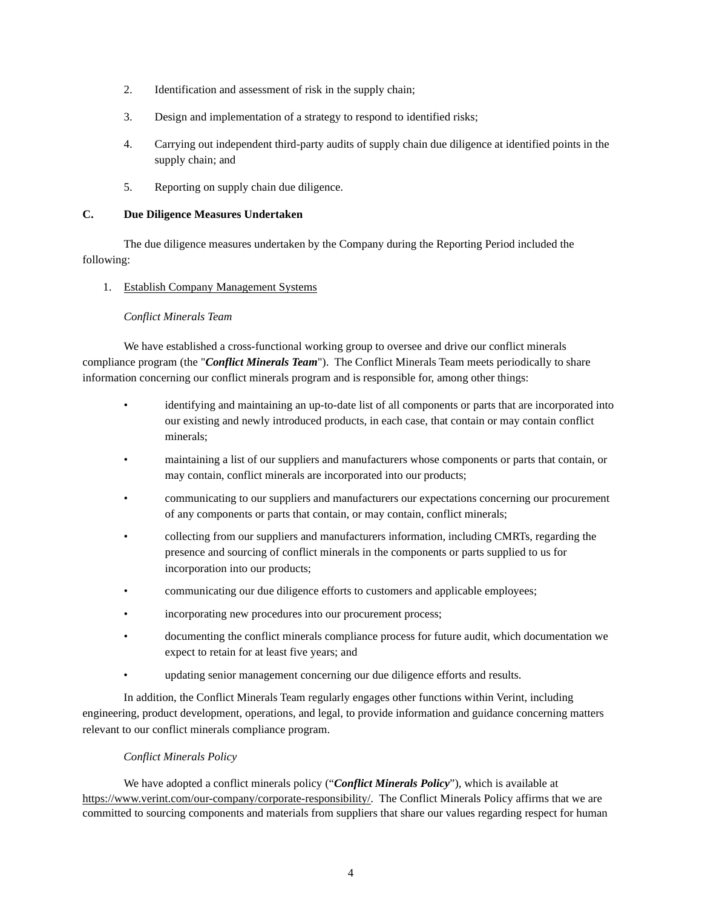- 2. Identification and assessment of risk in the supply chain;
- 3. Design and implementation of a strategy to respond to identified risks;
- 4. Carrying out independent third-party audits of supply chain due diligence at identified points in the supply chain; and
- 5. Reporting on supply chain due diligence.

# **C. Due Diligence Measures Undertaken**

The due diligence measures undertaken by the Company during the Reporting Period included the following:

## 1. Establish Company Management Systems

## *Conflict Minerals Team*

We have established a cross-functional working group to oversee and drive our conflict minerals compliance program (the "*Conflict Minerals Team*"). The Conflict Minerals Team meets periodically to share information concerning our conflict minerals program and is responsible for, among other things:

- identifying and maintaining an up-to-date list of all components or parts that are incorporated into our existing and newly introduced products, in each case, that contain or may contain conflict minerals;
- maintaining a list of our suppliers and manufacturers whose components or parts that contain, or may contain, conflict minerals are incorporated into our products;
- communicating to our suppliers and manufacturers our expectations concerning our procurement of any components or parts that contain, or may contain, conflict minerals;
- collecting from our suppliers and manufacturers information, including CMRTs, regarding the presence and sourcing of conflict minerals in the components or parts supplied to us for incorporation into our products;
- communicating our due diligence efforts to customers and applicable employees;
- incorporating new procedures into our procurement process;
- documenting the conflict minerals compliance process for future audit, which documentation we expect to retain for at least five years; and
- updating senior management concerning our due diligence efforts and results.

In addition, the Conflict Minerals Team regularly engages other functions within Verint, including engineering, product development, operations, and legal, to provide information and guidance concerning matters relevant to our conflict minerals compliance program.

# *Conflict Minerals Policy*

We have adopted a conflict minerals policy ("*Conflict Minerals Policy*"), which is available at https://www.verint.com/our-company/corporate-responsibility/. The Conflict Minerals Policy affirms that we are committed to sourcing components and materials from suppliers that share our values regarding respect for human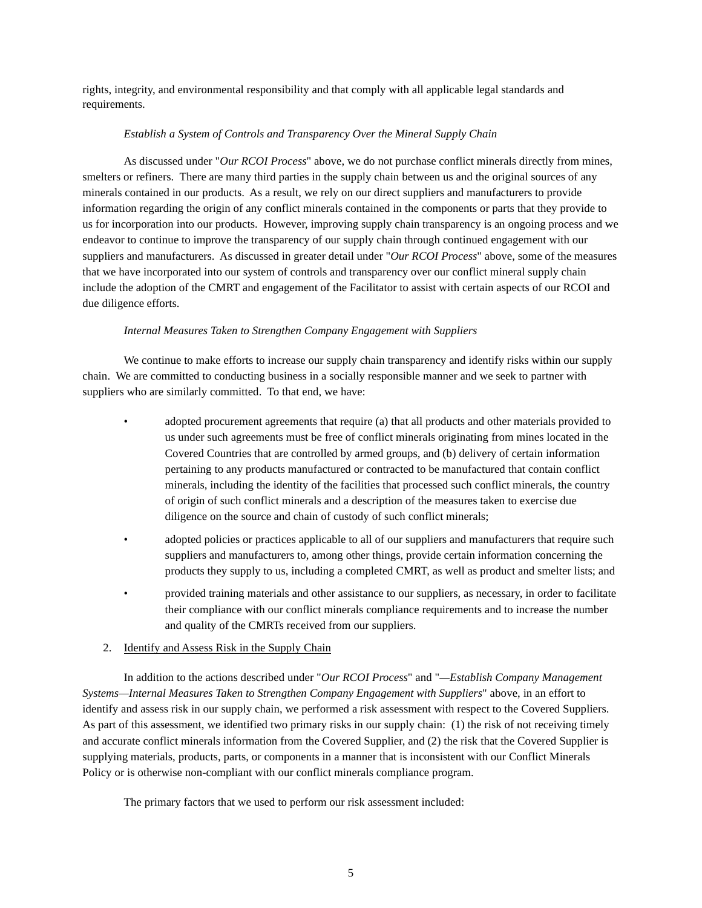rights, integrity, and environmental responsibility and that comply with all applicable legal standards and requirements.

#### *Establish a System of Controls and Transparency Over the Mineral Supply Chain*

As discussed under "*Our RCOI Process*" above, we do not purchase conflict minerals directly from mines, smelters or refiners. There are many third parties in the supply chain between us and the original sources of any minerals contained in our products. As a result, we rely on our direct suppliers and manufacturers to provide information regarding the origin of any conflict minerals contained in the components or parts that they provide to us for incorporation into our products. However, improving supply chain transparency is an ongoing process and we endeavor to continue to improve the transparency of our supply chain through continued engagement with our suppliers and manufacturers. As discussed in greater detail under "*Our RCOI Process*" above, some of the measures that we have incorporated into our system of controls and transparency over our conflict mineral supply chain include the adoption of the CMRT and engagement of the Facilitator to assist with certain aspects of our RCOI and due diligence efforts.

#### *Internal Measures Taken to Strengthen Company Engagement with Suppliers*

We continue to make efforts to increase our supply chain transparency and identify risks within our supply chain. We are committed to conducting business in a socially responsible manner and we seek to partner with suppliers who are similarly committed. To that end, we have:

- adopted procurement agreements that require (a) that all products and other materials provided to us under such agreements must be free of conflict minerals originating from mines located in the Covered Countries that are controlled by armed groups, and (b) delivery of certain information pertaining to any products manufactured or contracted to be manufactured that contain conflict minerals, including the identity of the facilities that processed such conflict minerals, the country of origin of such conflict minerals and a description of the measures taken to exercise due diligence on the source and chain of custody of such conflict minerals;
- adopted policies or practices applicable to all of our suppliers and manufacturers that require such suppliers and manufacturers to, among other things, provide certain information concerning the products they supply to us, including a completed CMRT, as well as product and smelter lists; and
- provided training materials and other assistance to our suppliers, as necessary, in order to facilitate their compliance with our conflict minerals compliance requirements and to increase the number and quality of the CMRTs received from our suppliers.

## 2. Identify and Assess Risk in the Supply Chain

In addition to the actions described under "*Our RCOI Process*" and "*—Establish Company Management Systems—Internal Measures Taken to Strengthen Company Engagement with Suppliers*" above, in an effort to identify and assess risk in our supply chain, we performed a risk assessment with respect to the Covered Suppliers. As part of this assessment, we identified two primary risks in our supply chain: (1) the risk of not receiving timely and accurate conflict minerals information from the Covered Supplier, and (2) the risk that the Covered Supplier is supplying materials, products, parts, or components in a manner that is inconsistent with our Conflict Minerals Policy or is otherwise non-compliant with our conflict minerals compliance program.

The primary factors that we used to perform our risk assessment included: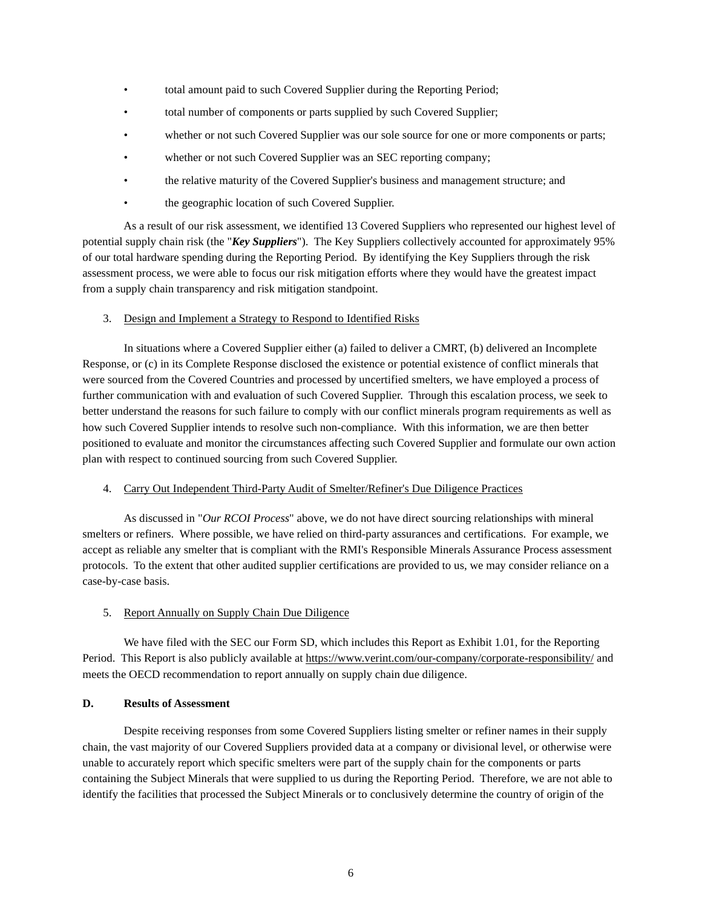- total amount paid to such Covered Supplier during the Reporting Period;
- total number of components or parts supplied by such Covered Supplier;
- whether or not such Covered Supplier was our sole source for one or more components or parts;
- whether or not such Covered Supplier was an SEC reporting company;
- the relative maturity of the Covered Supplier's business and management structure; and
- the geographic location of such Covered Supplier.

As a result of our risk assessment, we identified 13 Covered Suppliers who represented our highest level of potential supply chain risk (the "*Key Suppliers*"). The Key Suppliers collectively accounted for approximately 95% of our total hardware spending during the Reporting Period. By identifying the Key Suppliers through the risk assessment process, we were able to focus our risk mitigation efforts where they would have the greatest impact from a supply chain transparency and risk mitigation standpoint.

3. Design and Implement a Strategy to Respond to Identified Risks

In situations where a Covered Supplier either (a) failed to deliver a CMRT, (b) delivered an Incomplete Response, or (c) in its Complete Response disclosed the existence or potential existence of conflict minerals that were sourced from the Covered Countries and processed by uncertified smelters, we have employed a process of further communication with and evaluation of such Covered Supplier. Through this escalation process, we seek to better understand the reasons for such failure to comply with our conflict minerals program requirements as well as how such Covered Supplier intends to resolve such non-compliance. With this information, we are then better positioned to evaluate and monitor the circumstances affecting such Covered Supplier and formulate our own action plan with respect to continued sourcing from such Covered Supplier.

#### 4. Carry Out Independent Third-Party Audit of Smelter/Refiner's Due Diligence Practices

As discussed in "*Our RCOI Process*" above, we do not have direct sourcing relationships with mineral smelters or refiners. Where possible, we have relied on third-party assurances and certifications. For example, we accept as reliable any smelter that is compliant with the RMI's Responsible Minerals Assurance Process assessment protocols. To the extent that other audited supplier certifications are provided to us, we may consider reliance on a case-by-case basis.

#### 5. Report Annually on Supply Chain Due Diligence

We have filed with the SEC our Form SD, which includes this Report as Exhibit 1.01, for the Reporting Period. This Report is also publicly available at https://www.verint.com/our-company/corporate-responsibility/ and meets the OECD recommendation to report annually on supply chain due diligence.

#### **D. Results of Assessment**

Despite receiving responses from some Covered Suppliers listing smelter or refiner names in their supply chain, the vast majority of our Covered Suppliers provided data at a company or divisional level, or otherwise were unable to accurately report which specific smelters were part of the supply chain for the components or parts containing the Subject Minerals that were supplied to us during the Reporting Period. Therefore, we are not able to identify the facilities that processed the Subject Minerals or to conclusively determine the country of origin of the